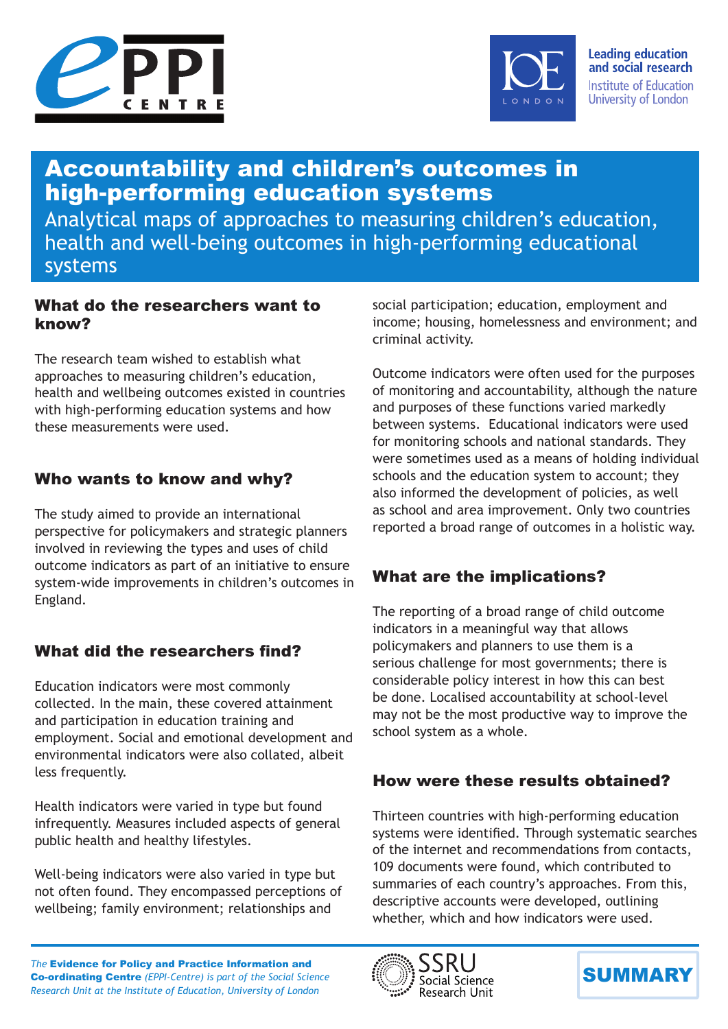



**Leading education** and social research Institute of Education University of London

# Accountability and children's outcomes in high-performing education systems

Analytical maps of approaches to measuring children's education, health and well-being outcomes in high-performing educational systems

### What do the researchers want to know?

The research team wished to establish what approaches to measuring children's education, health and wellbeing outcomes existed in countries with high-performing education systems and how these measurements were used.

# Who wants to know and why?

The study aimed to provide an international perspective for policymakers and strategic planners involved in reviewing the types and uses of child outcome indicators as part of an initiative to ensure system-wide improvements in children's outcomes in England.

# What did the researchers find?

Education indicators were most commonly collected. In the main, these covered attainment and participation in education training and employment. Social and emotional development and environmental indicators were also collated, albeit less frequently.

Health indicators were varied in type but found infrequently. Measures included aspects of general public health and healthy lifestyles.

Well-being indicators were also varied in type but not often found. They encompassed perceptions of wellbeing; family environment; relationships and

social participation; education, employment and income; housing, homelessness and environment; and criminal activity.

Outcome indicators were often used for the purposes of monitoring and accountability, although the nature and purposes of these functions varied markedly between systems. Educational indicators were used for monitoring schools and national standards. They were sometimes used as a means of holding individual schools and the education system to account; they also informed the development of policies, as well as school and area improvement. Only two countries reported a broad range of outcomes in a holistic way.

# What are the implications?

The reporting of a broad range of child outcome indicators in a meaningful way that allows policymakers and planners to use them is a serious challenge for most governments; there is considerable policy interest in how this can best be done. Localised accountability at school-level may not be the most productive way to improve the school system as a whole.

# How were these results obtained?

Thirteen countries with high-performing education systems were identified. Through systematic searches of the internet and recommendations from contacts, 109 documents were found, which contributed to summaries of each country's approaches. From this, descriptive accounts were developed, outlining whether, which and how indicators were used.

*The* Evidence for Policy and Practice Information and Co‑ordinating Centre *(EPPI-Centre) is part of the Social Science Research Unit at the Institute of Education, University of London*